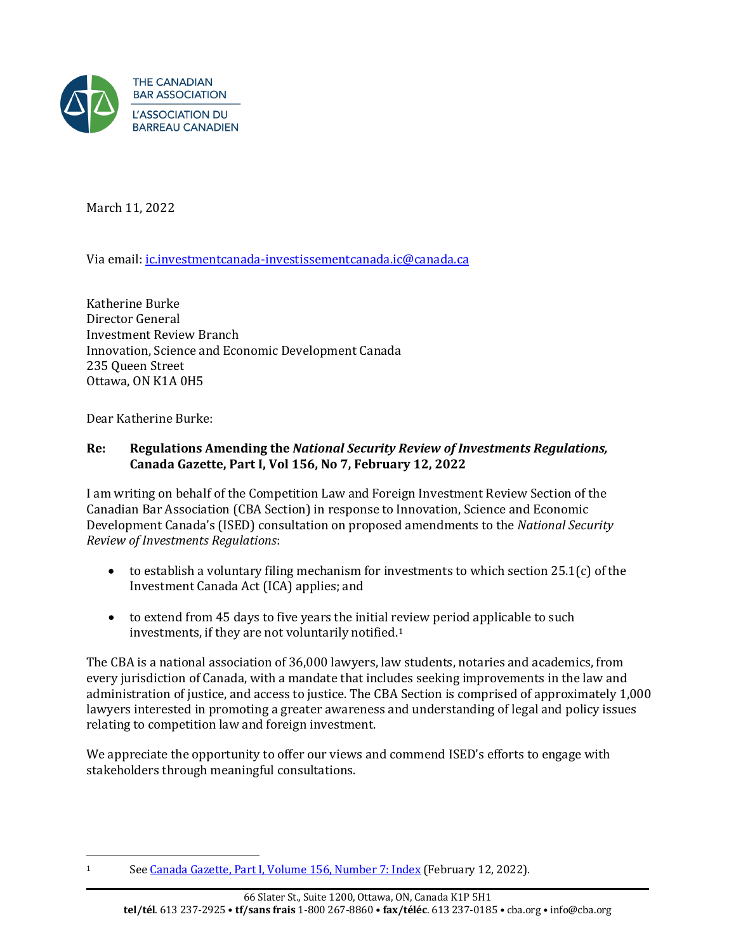

March 11, 2022

Via email: [ic.investmentcanada-investissementcanada.ic@canada.ca](mailto:ic.investmentcanada-investissementcanada.ic@canada.ca)

Katherine Burke Director General Investment Review Branch Innovation, Science and Economic Development Canada 235 Queen Street Ottawa, ON K1A 0H5

Dear Katherine Burke:

## **Re: Regulations Amending the** *National Security Review of Investments Regulations,*  **Canada Gazette, Part I, Vol 156, No 7, February 12, 2022**

I am writing on behalf of the Competition Law and Foreign Investment Review Section of the Canadian Bar Association (CBA Section) in response to Innovation, Science and Economic Development Canada's (ISED) consultation on proposed amendments to the *National Security Review of Investments Regulations*:

- to establish a voluntary filing mechanism for investments to which section  $25.1(c)$  of the Investment Canada Act (ICA) applies; and
- to extend from 45 days to five years the initial review period applicable to such investments, if they are not voluntarily notified.1

The CBA is a national association of 36,000 lawyers, law students, notaries and academics, from every jurisdiction of Canada, with a mandate that includes seeking improvements in the law and administration of justice, and access to justice. The CBA Section is comprised of approximately 1,000 lawyers interested in promoting a greater awareness and understanding of legal and policy issues relating to competition law and foreign investment.

We appreciate the opportunity to offer our views and commend ISED's efforts to engage with stakeholders through meaningful consultations.

<sup>1</sup> See [Canada Gazette, Part I, Volume 156, Number 7: Index](https://www.gazette.gc.ca/rp-pr/p1/2022/2022-02-12/html/index-eng.html) (February 12, 2022).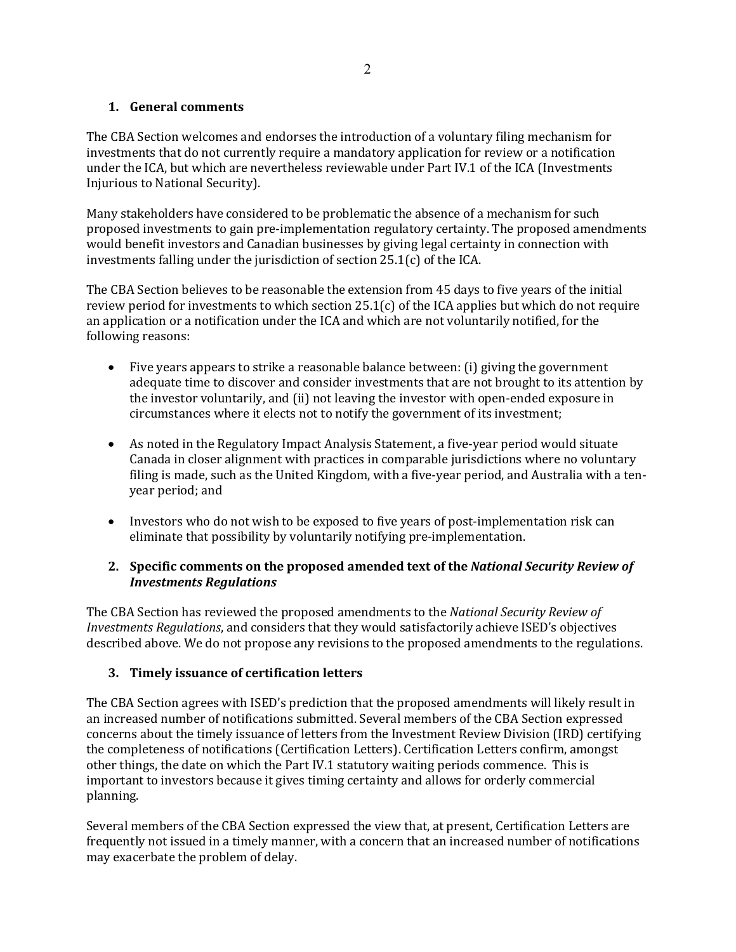## **1. General comments**

The CBA Section welcomes and endorses the introduction of a voluntary filing mechanism for investments that do not currently require a mandatory application for review or a notification under the ICA, but which are nevertheless reviewable under Part IV.1 of the ICA (Investments Injurious to National Security).

Many stakeholders have considered to be problematic the absence of a mechanism for such proposed investments to gain pre-implementation regulatory certainty. The proposed amendments would benefit investors and Canadian businesses by giving legal certainty in connection with investments falling under the jurisdiction of section 25.1(c) of the ICA.

The CBA Section believes to be reasonable the extension from 45 days to five years of the initial review period for investments to which section 25.1(c) of the ICA applies but which do not require an application or a notification under the ICA and which are not voluntarily notified, for the following reasons:

- Five years appears to strike a reasonable balance between: (i) giving the government adequate time to discover and consider investments that are not brought to its attention by the investor voluntarily, and (ii) not leaving the investor with open-ended exposure in circumstances where it elects not to notify the government of its investment;
- As noted in the Regulatory Impact Analysis Statement, a five-year period would situate Canada in closer alignment with practices in comparable jurisdictions where no voluntary filing is made, such as the United Kingdom, with a five-year period, and Australia with a tenyear period; and
- Investors who do not wish to be exposed to five years of post-implementation risk can eliminate that possibility by voluntarily notifying pre-implementation.

## **2. Specific comments on the proposed amended text of the** *National Security Review of Investments Regulations*

The CBA Section has reviewed the proposed amendments to the *National Security Review of Investments Regulations*, and considers that they would satisfactorily achieve ISED's objectives described above. We do not propose any revisions to the proposed amendments to the regulations.

## **3. Timely issuance of certification letters**

The CBA Section agrees with ISED's prediction that the proposed amendments will likely result in an increased number of notifications submitted. Several members of the CBA Section expressed concerns about the timely issuance of letters from the Investment Review Division (IRD) certifying the completeness of notifications (Certification Letters). Certification Letters confirm, amongst other things, the date on which the Part IV.1 statutory waiting periods commence. This is important to investors because it gives timing certainty and allows for orderly commercial planning.

Several members of the CBA Section expressed the view that, at present, Certification Letters are frequently not issued in a timely manner, with a concern that an increased number of notifications may exacerbate the problem of delay.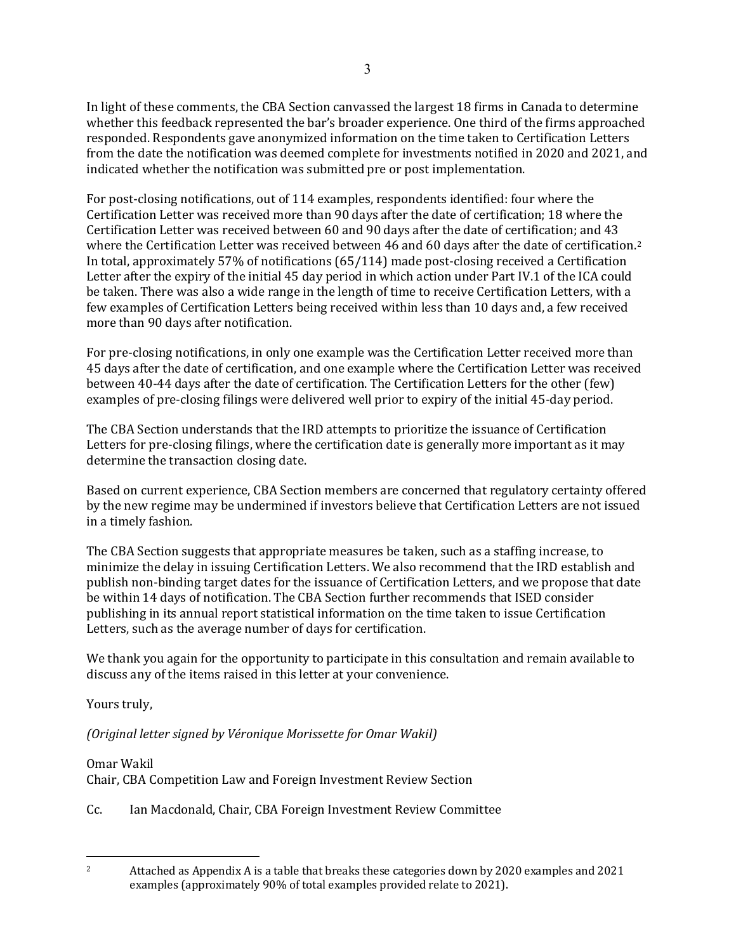In light of these comments, the CBA Section canvassed the largest 18 firms in Canada to determine whether this feedback represented the bar's broader experience. One third of the firms approached responded. Respondents gave anonymized information on the time taken to Certification Letters from the date the notification was deemed complete for investments notified in 2020 and 2021, and indicated whether the notification was submitted pre or post implementation.

For post-closing notifications, out of 114 examples, respondents identified: four where the Certification Letter was received more than 90 days after the date of certification; 18 where the Certification Letter was received between 60 and 90 days after the date of certification; and 43 where the Certification Letter was received between 46 and 60 days after the date of certification.<sup>2</sup> In total, approximately 57% of notifications (65/114) made post-closing received a Certification Letter after the expiry of the initial 45 day period in which action under Part IV.1 of the ICA could be taken. There was also a wide range in the length of time to receive Certification Letters, with a few examples of Certification Letters being received within less than 10 days and, a few received more than 90 days after notification.

For pre-closing notifications, in only one example was the Certification Letter received more than 45 days after the date of certification, and one example where the Certification Letter was received between 40-44 days after the date of certification. The Certification Letters for the other (few) examples of pre-closing filings were delivered well prior to expiry of the initial 45-day period.

The CBA Section understands that the IRD attempts to prioritize the issuance of Certification Letters for pre-closing filings, where the certification date is generally more important as it may determine the transaction closing date.

Based on current experience, CBA Section members are concerned that regulatory certainty offered by the new regime may be undermined if investors believe that Certification Letters are not issued in a timely fashion.

The CBA Section suggests that appropriate measures be taken, such as a staffing increase, to minimize the delay in issuing Certification Letters. We also recommend that the IRD establish and publish non-binding target dates for the issuance of Certification Letters, and we propose that date be within 14 days of notification. The CBA Section further recommends that ISED consider publishing in its annual report statistical information on the time taken to issue Certification Letters, such as the average number of days for certification.

We thank you again for the opportunity to participate in this consultation and remain available to discuss any of the items raised in this letter at your convenience.

Yours truly,

*(Original letter signed by Véronique Morissette for Omar Wakil)*

Omar Wakil

Chair, CBA Competition Law and Foreign Investment Review Section

Cc. Ian Macdonald, Chair, CBA Foreign Investment Review Committee

<sup>2</sup> Attached as Appendix A is a table that breaks these categories down by 2020 examples and 2021 examples (approximately 90% of total examples provided relate to 2021).